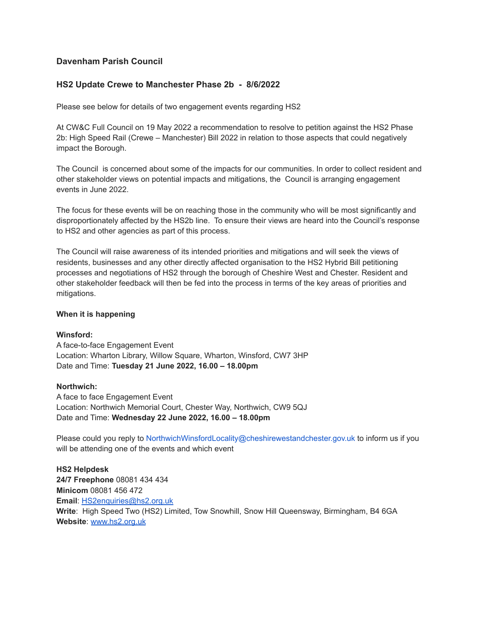# **Davenham Parish Council**

# **HS2 Update Crewe to Manchester Phase 2b - 8/6/2022**

Please see below for details of two engagement events regarding HS2

At CW&C Full Council on 19 May 2022 a recommendation to resolve to petition against the HS2 Phase 2b: High Speed Rail (Crewe – Manchester) Bill 2022 in relation to those aspects that could negatively impact the Borough.

The Council is concerned about some of the impacts for our communities. In order to collect resident and other stakeholder views on potential impacts and mitigations, the Council is arranging engagement events in June 2022.

The focus for these events will be on reaching those in the community who will be most significantly and disproportionately affected by the HS2b line. To ensure their views are heard into the Council's response to HS2 and other agencies as part of this process.

The Council will raise awareness of its intended priorities and mitigations and will seek the views of residents, businesses and any other directly affected organisation to the HS2 Hybrid Bill petitioning processes and negotiations of HS2 through the borough of Cheshire West and Chester. Resident and other stakeholder feedback will then be fed into the process in terms of the key areas of priorities and mitigations.

### **When it is happening**

### **Winsford:**

A face-to-face Engagement Event Location: Wharton Library, Willow Square, Wharton, Winsford, CW7 3HP Date and Time: **Tuesday 21 June 2022, 16.00 – 18.00pm**

#### **Northwich:**

A face to face Engagement Event Location: Northwich Memorial Court, Chester Way, Northwich, CW9 5QJ Date and Time: **Wednesday 22 June 2022, 16.00 – 18.00pm**

Please could you reply to NorthwichWinsfordLocality@cheshirewestandchester.gov.uk to inform us if you will be attending one of the events and which event

**HS2 Helpdesk 24/7 Freephone** 08081 434 434 **Minicom** 08081 456 472 **Email**: [HS2enquiries@hs2.org.uk](mailto:HS2enquiries@hs2.org.uk) **Write**: High Speed Two (HS2) Limited, Tow Snowhill, Snow Hill Queensway, Birmingham, B4 6GA **Website**: [www.hs2.org.uk](http://www.hs2.org.uk/)